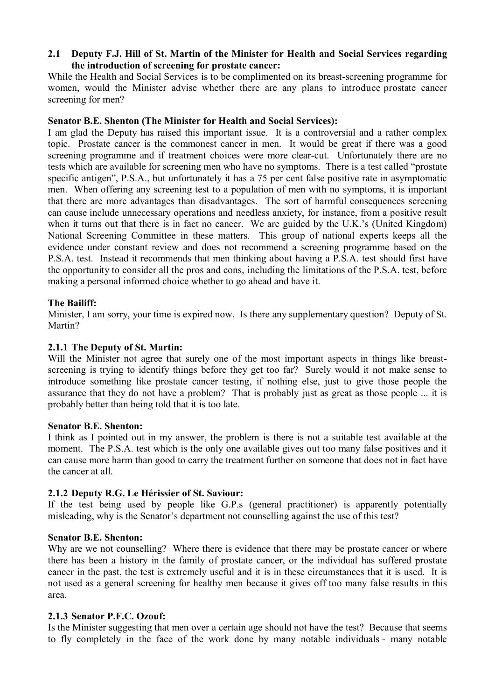# **2.1** � **Deputy F.J. Hill of St. Martin of the Minister for Health and Social Services regarding the introduction of screening for prostate cancer:**

While the Health and Social Services is to be complimented on its breast-screening programme for women, would the Minister advise whether there are any plans to introduce prostate cancer screening for men?

# **Senator B.E. Shenton (The Minister for Health and Social Services):**

I am glad the Deputy has raised this important issue. It is a controversial and a rather complex topic. Prostate cancer is the commonest cancer in men. It would be great if there was a good screening programme and if treatment choices were more clear-cut. Unfortunately there are no tests which are available for screening men who have no symptoms. There is a test called "prostate specific antigen", P.S.A., but unfortunately it has a 75 per cent false positive rate in asymptomatic men. When offering any screening test to a population of men with no symptoms, it is important that there are more advantages than disadvantages. The sort of harmful consequences screening can cause include unnecessary operations and needless anxiety, for instance, from a positive result when it turns out that there is in fact no cancer. We are guided by the U.K.'s (United Kingdom) National Screening Committee in these matters. This group of national experts keeps all the evidence under constant review and does not recommend a screening programme based on the P.S.A. test. Instead it recommends that men thinking about having a P.S.A. test should first have the opportunity to consider all the pros and cons, including the limitations of the P.S.A. test, before making a personal informed choice whether to go ahead and have it.

# **The Bailiff:**

Minister, I am sorry, your time is expired now. Is there any supplementary question? Deputy of St. Martin?

# **2.1.1 The Deputy of St. Martin:**

Will the Minister not agree that surely one of the most important aspects in things like breastscreening is trying to identify things before they get too far? Surely would it not make sense to introduce something like prostate cancer testing, if nothing else, just to give those people the assurance that they do not have a problem? That is probably just as great as those people ... it is probably better than being told that it is too late.

## **Senator B.E. Shenton:**

I think as I pointed out in my answer, the problem is there is not a suitable test available at the moment. The P.S.A. test which is the only one available gives out too many false positives and it can cause more harm than good to carry the treatment further on someone that does not in fact have the cancer at all.

## **2.1.2 Deputy R.G. Le Hérissier of St. Saviour:**

If the test being used by people like G.P.s (general practitioner) is apparently potentially misleading, why is the Senator's department not counselling against the use of this test?

## **Senator B.E. Shenton:**

Why are we not counselling? Where there is evidence that there may be prostate cancer or where there has been a history in the family of prostate cancer, or the individual has suffered prostate cancer in the past, the test is extremely useful and it is in these circumstances that it is used. It is not used as a general screening for healthy men because it gives off too many false results in this area.

## **2.1.3 Senator P.F.C. Ozouf:**

Is the Minister suggesting that men over a certain age should not have the test? Because that seems to fly completely in the face of the work done by many notable individuals - many notable